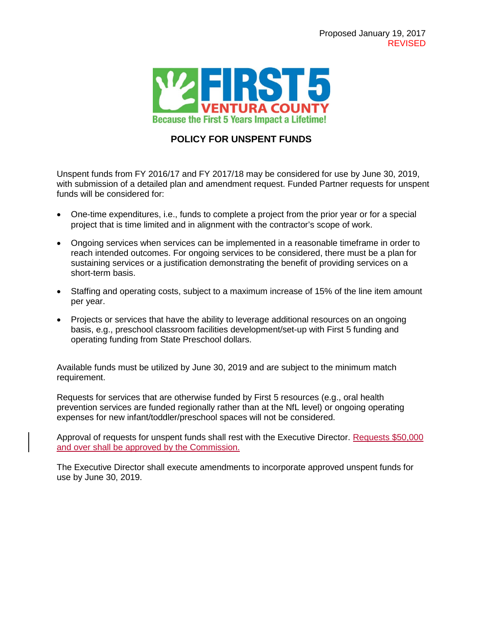

## **POLICY FOR UNSPENT FUNDS**

Unspent funds from FY 2016/17 and FY 2017/18 may be considered for use by June 30, 2019, with submission of a detailed plan and amendment request. Funded Partner requests for unspent funds will be considered for:

- One-time expenditures, i.e., funds to complete a project from the prior year or for a special project that is time limited and in alignment with the contractor's scope of work.
- Ongoing services when services can be implemented in a reasonable timeframe in order to reach intended outcomes. For ongoing services to be considered, there must be a plan for sustaining services or a justification demonstrating the benefit of providing services on a short-term basis.
- Staffing and operating costs, subject to a maximum increase of 15% of the line item amount per year.
- Projects or services that have the ability to leverage additional resources on an ongoing basis, e.g., preschool classroom facilities development/set-up with First 5 funding and operating funding from State Preschool dollars.

Available funds must be utilized by June 30, 2019 and are subject to the minimum match requirement.

Requests for services that are otherwise funded by First 5 resources (e.g., oral health prevention services are funded regionally rather than at the NfL level) or ongoing operating expenses for new infant/toddler/preschool spaces will not be considered.

Approval of requests for unspent funds shall rest with the Executive Director. Requests \$50,000 and over shall be approved by the Commission.

The Executive Director shall execute amendments to incorporate approved unspent funds for use by June 30, 2019.